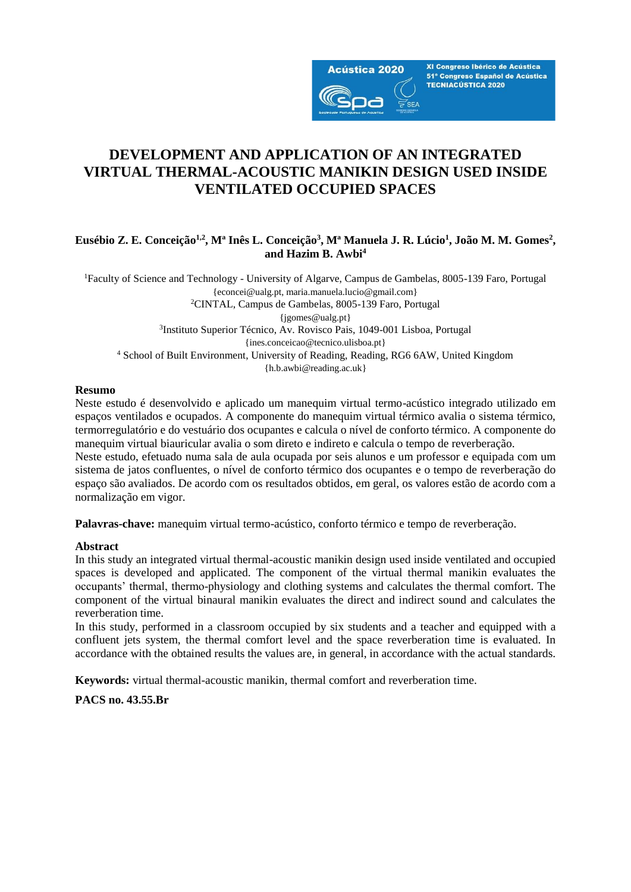

XI Congreso Ibérico de Acústica 51º Congreso Español de Acústica **TECNIACÚSTICA 2020** 

# **DEVELOPMENT AND APPLICATION OF AN INTEGRATED VIRTUAL THERMAL-ACOUSTIC MANIKIN DESIGN USED INSIDE VENTILATED OCCUPIED SPACES**

## **Eusébio Z. E. Conceição1,2, Mª Inês L. Conceição<sup>3</sup> , Mª Manuela J. R. Lúcio<sup>1</sup> , João M. M. Gomes<sup>2</sup> , and Hazim B. Awbi<sup>4</sup>**

<sup>1</sup>Faculty of Science and Technology - University of Algarve, Campus de Gambelas, 8005-139 Faro, Portugal {econcei@ualg.pt, maria.manuela.lucio@gmail.com} <sup>2</sup>CINTAL, Campus de Gambelas, 8005-139 Faro, Portugal {jgomes@ualg.pt} 3 Instituto Superior Técnico, Av. Rovisco Pais, 1049-001 Lisboa, Portugal {ines.conceicao@tecnico.ulisboa.pt} <sup>4</sup> School of Built Environment, University of Reading, Reading, RG6 6AW, United Kingdom {h.b.awbi@reading.ac.uk}

### **Resumo**

Neste estudo é desenvolvido e aplicado um manequim virtual termo-acústico integrado utilizado em espaços ventilados e ocupados. A componente do manequim virtual térmico avalia o sistema térmico, termorregulatório e do vestuário dos ocupantes e calcula o nível de conforto térmico. A componente do manequim virtual biauricular avalia o som direto e indireto e calcula o tempo de reverberação. Neste estudo, efetuado numa sala de aula ocupada por seis alunos e um professor e equipada com um sistema de jatos confluentes, o nível de conforto térmico dos ocupantes e o tempo de reverberação do espaço são avaliados. De acordo com os resultados obtidos, em geral, os valores estão de acordo com a

normalização em vigor.

**Palavras-chave:** manequim virtual termo-acústico, conforto térmico e tempo de reverberação.

### **Abstract**

In this study an integrated virtual thermal-acoustic manikin design used inside ventilated and occupied spaces is developed and applicated. The component of the virtual thermal manikin evaluates the occupants' thermal, thermo-physiology and clothing systems and calculates the thermal comfort. The component of the virtual binaural manikin evaluates the direct and indirect sound and calculates the reverberation time.

In this study, performed in a classroom occupied by six students and a teacher and equipped with a confluent jets system, the thermal comfort level and the space reverberation time is evaluated. In accordance with the obtained results the values are, in general, in accordance with the actual standards.

**Keywords:** virtual thermal-acoustic manikin, thermal comfort and reverberation time.

**PACS no. 43.55.Br**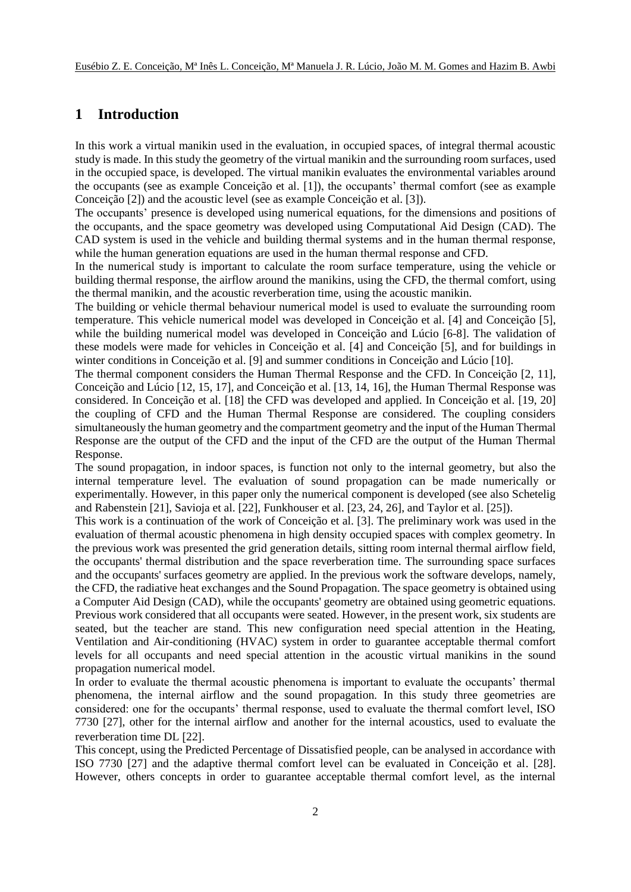## **1 Introduction**

In this work a virtual manikin used in the evaluation, in occupied spaces, of integral thermal acoustic study is made. In this study the geometry of the virtual manikin and the surrounding room surfaces, used in the occupied space, is developed. The virtual manikin evaluates the environmental variables around the occupants (see as example Conceição et al. [1]), the occupants' thermal comfort (see as example Conceição [2]) and the acoustic level (see as example Conceição et al. [3]).

The occupants' presence is developed using numerical equations, for the dimensions and positions of the occupants, and the space geometry was developed using Computational Aid Design (CAD). The CAD system is used in the vehicle and building thermal systems and in the human thermal response, while the human generation equations are used in the human thermal response and CFD.

In the numerical study is important to calculate the room surface temperature, using the vehicle or building thermal response, the airflow around the manikins, using the CFD, the thermal comfort, using the thermal manikin, and the acoustic reverberation time, using the acoustic manikin.

The building or vehicle thermal behaviour numerical model is used to evaluate the surrounding room temperature. This vehicle numerical model was developed in Conceição et al. [4] and Conceição [5], while the building numerical model was developed in Conceição and Lúcio [6-8]. The validation of these models were made for vehicles in Conceição et al. [4] and Conceição [5], and for buildings in winter conditions in Conceição et al. [9] and summer conditions in Conceição and Lúcio [10].

The thermal component considers the Human Thermal Response and the CFD. In Conceição [2, 11], Conceição and Lúcio [12, 15, 17], and Conceição et al. [13, 14, 16], the Human Thermal Response was considered. In Conceição et al. [18] the CFD was developed and applied. In Conceição et al. [19, 20] the coupling of CFD and the Human Thermal Response are considered. The coupling considers simultaneously the human geometry and the compartment geometry and the input of the Human Thermal Response are the output of the CFD and the input of the CFD are the output of the Human Thermal Response.

The sound propagation, in indoor spaces, is function not only to the internal geometry, but also the internal temperature level. The evaluation of sound propagation can be made numerically or experimentally. However, in this paper only the numerical component is developed (see also Schetelig and Rabenstein [21], Savioja et al. [22], Funkhouser et al. [23, 24, 26], and Taylor et al. [25]).

This work is a continuation of the work of Conceição et al. [3]. The preliminary work was used in the evaluation of thermal acoustic phenomena in high density occupied spaces with complex geometry. In the previous work was presented the grid generation details, sitting room internal thermal airflow field, the occupants' thermal distribution and the space reverberation time. The surrounding space surfaces and the occupants' surfaces geometry are applied. In the previous work the software develops, namely, the CFD, the radiative heat exchanges and the Sound Propagation. The space geometry is obtained using a Computer Aid Design (CAD), while the occupants' geometry are obtained using geometric equations. Previous work considered that all occupants were seated. However, in the present work, six students are seated, but the teacher are stand. This new configuration need special attention in the Heating, Ventilation and Air-conditioning (HVAC) system in order to guarantee acceptable thermal comfort levels for all occupants and need special attention in the acoustic virtual manikins in the sound propagation numerical model.

In order to evaluate the thermal acoustic phenomena is important to evaluate the occupants' thermal phenomena, the internal airflow and the sound propagation. In this study three geometries are considered: one for the occupants' thermal response, used to evaluate the thermal comfort level, ISO 7730 [27], other for the internal airflow and another for the internal acoustics, used to evaluate the reverberation time DL [22].

This concept, using the Predicted Percentage of Dissatisfied people, can be analysed in accordance with ISO 7730 [27] and the adaptive thermal comfort level can be evaluated in Conceição et al. [28]. However, others concepts in order to guarantee acceptable thermal comfort level, as the internal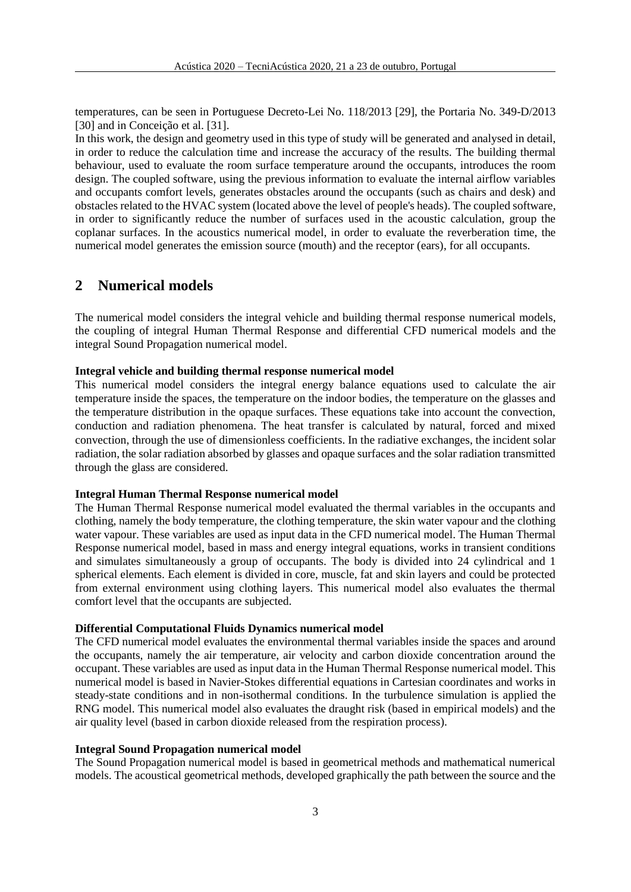temperatures, can be seen in Portuguese Decreto-Lei No. 118/2013 [29], the Portaria No. 349-D/2013 [30] and in Conceição et al. [31].

In this work, the design and geometry used in this type of study will be generated and analysed in detail, in order to reduce the calculation time and increase the accuracy of the results. The building thermal behaviour, used to evaluate the room surface temperature around the occupants, introduces the room design. The coupled software, using the previous information to evaluate the internal airflow variables and occupants comfort levels, generates obstacles around the occupants (such as chairs and desk) and obstacles related to the HVAC system (located above the level of people's heads). The coupled software, in order to significantly reduce the number of surfaces used in the acoustic calculation, group the coplanar surfaces. In the acoustics numerical model, in order to evaluate the reverberation time, the numerical model generates the emission source (mouth) and the receptor (ears), for all occupants.

## **2 Numerical models**

The numerical model considers the integral vehicle and building thermal response numerical models, the coupling of integral Human Thermal Response and differential CFD numerical models and the integral Sound Propagation numerical model.

### **Integral vehicle and building thermal response numerical model**

This numerical model considers the integral energy balance equations used to calculate the air temperature inside the spaces, the temperature on the indoor bodies, the temperature on the glasses and the temperature distribution in the opaque surfaces. These equations take into account the convection, conduction and radiation phenomena. The heat transfer is calculated by natural, forced and mixed convection, through the use of dimensionless coefficients. In the radiative exchanges, the incident solar radiation, the solar radiation absorbed by glasses and opaque surfaces and the solar radiation transmitted through the glass are considered.

### **Integral Human Thermal Response numerical model**

The Human Thermal Response numerical model evaluated the thermal variables in the occupants and clothing, namely the body temperature, the clothing temperature, the skin water vapour and the clothing water vapour. These variables are used as input data in the CFD numerical model. The Human Thermal Response numerical model, based in mass and energy integral equations, works in transient conditions and simulates simultaneously a group of occupants. The body is divided into 24 cylindrical and 1 spherical elements. Each element is divided in core, muscle, fat and skin layers and could be protected from external environment using clothing layers. This numerical model also evaluates the thermal comfort level that the occupants are subjected.

#### **Differential Computational Fluids Dynamics numerical model**

The CFD numerical model evaluates the environmental thermal variables inside the spaces and around the occupants, namely the air temperature, air velocity and carbon dioxide concentration around the occupant. These variables are used as input data in the Human Thermal Response numerical model. This numerical model is based in Navier-Stokes differential equations in Cartesian coordinates and works in steady-state conditions and in non-isothermal conditions. In the turbulence simulation is applied the RNG model. This numerical model also evaluates the draught risk (based in empirical models) and the air quality level (based in carbon dioxide released from the respiration process).

#### **Integral Sound Propagation numerical model**

The Sound Propagation numerical model is based in geometrical methods and mathematical numerical models. The acoustical geometrical methods, developed graphically the path between the source and the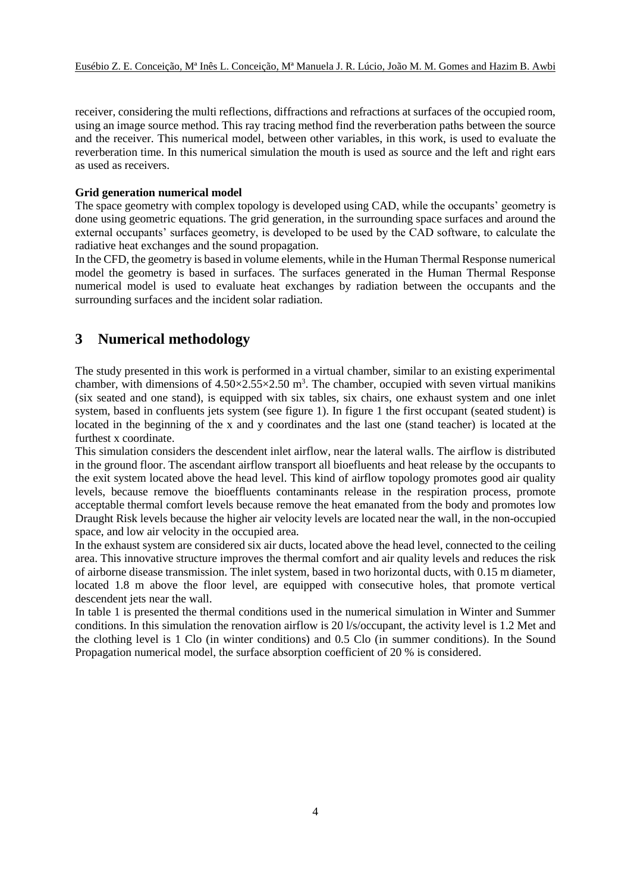receiver, considering the multi reflections, diffractions and refractions at surfaces of the occupied room, using an image source method. This ray tracing method find the reverberation paths between the source and the receiver. This numerical model, between other variables, in this work, is used to evaluate the reverberation time. In this numerical simulation the mouth is used as source and the left and right ears as used as receivers.

### **Grid generation numerical model**

The space geometry with complex topology is developed using CAD, while the occupants' geometry is done using geometric equations. The grid generation, in the surrounding space surfaces and around the external occupants' surfaces geometry, is developed to be used by the CAD software, to calculate the radiative heat exchanges and the sound propagation.

In the CFD, the geometry is based in volume elements, while in the Human Thermal Response numerical model the geometry is based in surfaces. The surfaces generated in the Human Thermal Response numerical model is used to evaluate heat exchanges by radiation between the occupants and the surrounding surfaces and the incident solar radiation.

## **3 Numerical methodology**

The study presented in this work is performed in a virtual chamber, similar to an existing experimental chamber, with dimensions of  $4.50 \times 2.55 \times 2.50$  m<sup>3</sup>. The chamber, occupied with seven virtual manikins (six seated and one stand), is equipped with six tables, six chairs, one exhaust system and one inlet system, based in confluents jets system (see figure 1). In figure 1 the first occupant (seated student) is located in the beginning of the x and y coordinates and the last one (stand teacher) is located at the furthest x coordinate.

This simulation considers the descendent inlet airflow, near the lateral walls. The airflow is distributed in the ground floor. The ascendant airflow transport all bioefluents and heat release by the occupants to the exit system located above the head level. This kind of airflow topology promotes good air quality levels, because remove the bioeffluents contaminants release in the respiration process, promote acceptable thermal comfort levels because remove the heat emanated from the body and promotes low Draught Risk levels because the higher air velocity levels are located near the wall, in the non-occupied space, and low air velocity in the occupied area.

In the exhaust system are considered six air ducts, located above the head level, connected to the ceiling area. This innovative structure improves the thermal comfort and air quality levels and reduces the risk of airborne disease transmission. The inlet system, based in two horizontal ducts, with 0.15 m diameter, located 1.8 m above the floor level, are equipped with consecutive holes, that promote vertical descendent jets near the wall.

In table 1 is presented the thermal conditions used in the numerical simulation in Winter and Summer conditions. In this simulation the renovation airflow is 20 l/s/occupant, the activity level is 1.2 Met and the clothing level is 1 Clo (in winter conditions) and 0.5 Clo (in summer conditions). In the Sound Propagation numerical model, the surface absorption coefficient of 20 % is considered.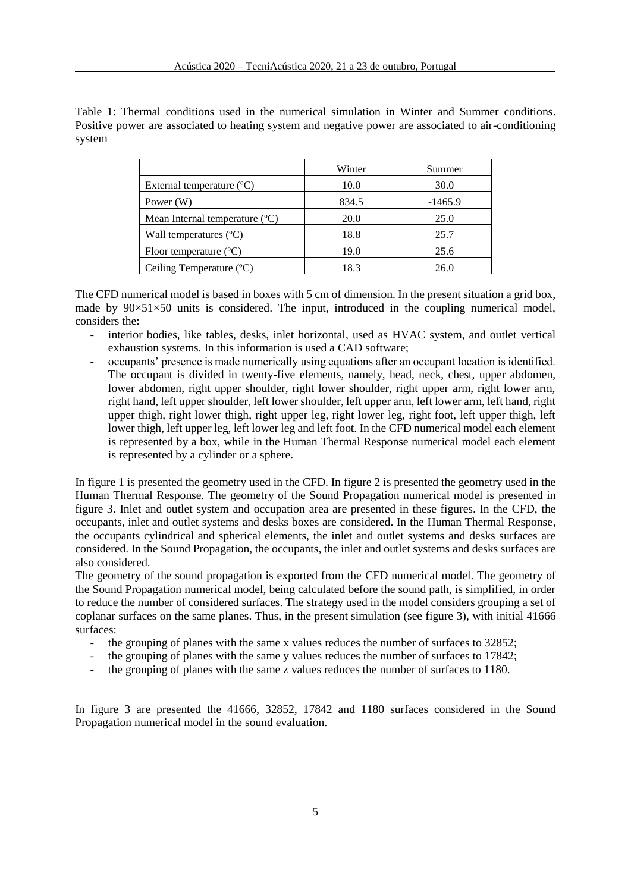Table 1: Thermal conditions used in the numerical simulation in Winter and Summer conditions. Positive power are associated to heating system and negative power are associated to air-conditioning system

|                                           | Winter | Summer    |
|-------------------------------------------|--------|-----------|
| External temperature $(^{\circ}C)$        | 10.0   | 30.0      |
| Power $(W)$                               | 834.5  | $-1465.9$ |
| Mean Internal temperature $({}^{\circ}C)$ | 20.0   | 25.0      |
| Wall temperatures $(C)$                   | 18.8   | 25.7      |
| Floor temperature $(^{\circ}C)$           | 19.0   | 25.6      |
| Ceiling Temperature $(C)$                 | 18.3   | 26.0      |

The CFD numerical model is based in boxes with 5 cm of dimension. In the present situation a grid box, made by  $90\times51\times50$  units is considered. The input, introduced in the coupling numerical model, considers the:

- interior bodies, like tables, desks, inlet horizontal, used as HVAC system, and outlet vertical exhaustion systems. In this information is used a CAD software;
- occupants' presence is made numerically using equations after an occupant location is identified. The occupant is divided in twenty-five elements, namely, head, neck, chest, upper abdomen, lower abdomen, right upper shoulder, right lower shoulder, right upper arm, right lower arm, right hand, left upper shoulder, left lower shoulder, left upper arm, left lower arm, left hand, right upper thigh, right lower thigh, right upper leg, right lower leg, right foot, left upper thigh, left lower thigh, left upper leg, left lower leg and left foot. In the CFD numerical model each element is represented by a box, while in the Human Thermal Response numerical model each element is represented by a cylinder or a sphere.

In figure 1 is presented the geometry used in the CFD. In figure 2 is presented the geometry used in the Human Thermal Response. The geometry of the Sound Propagation numerical model is presented in figure 3. Inlet and outlet system and occupation area are presented in these figures. In the CFD, the occupants, inlet and outlet systems and desks boxes are considered. In the Human Thermal Response, the occupants cylindrical and spherical elements, the inlet and outlet systems and desks surfaces are considered. In the Sound Propagation, the occupants, the inlet and outlet systems and desks surfaces are also considered.

The geometry of the sound propagation is exported from the CFD numerical model. The geometry of the Sound Propagation numerical model, being calculated before the sound path, is simplified, in order to reduce the number of considered surfaces. The strategy used in the model considers grouping a set of coplanar surfaces on the same planes. Thus, in the present simulation (see figure 3), with initial 41666 surfaces:

- the grouping of planes with the same x values reduces the number of surfaces to 32852;
- the grouping of planes with the same y values reduces the number of surfaces to 17842;
- the grouping of planes with the same z values reduces the number of surfaces to 1180.

In figure 3 are presented the 41666, 32852, 17842 and 1180 surfaces considered in the Sound Propagation numerical model in the sound evaluation.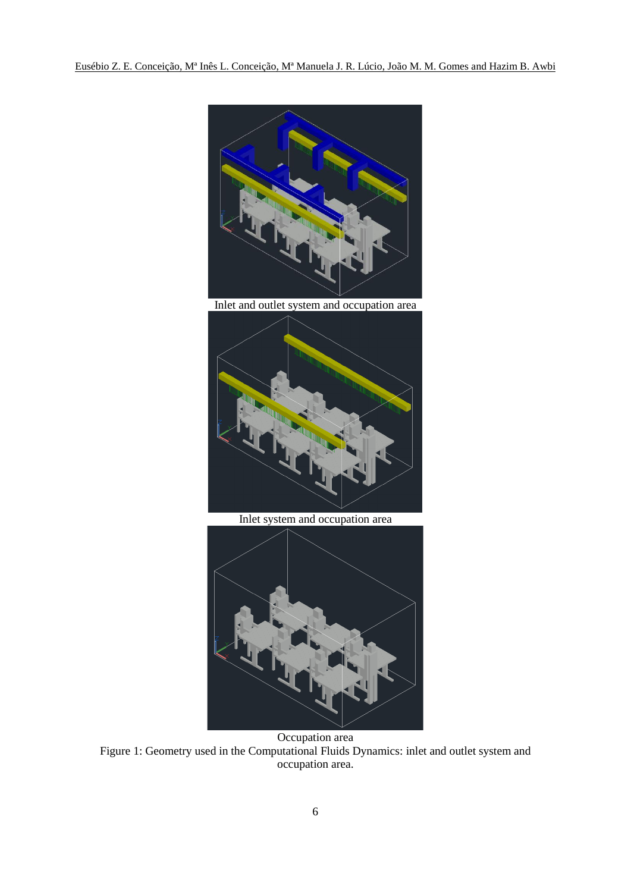

Inlet and outlet system and occupation area



Inlet system and occupation area



Occupation area Figure 1: Geometry used in the Computational Fluids Dynamics: inlet and outlet system and occupation area.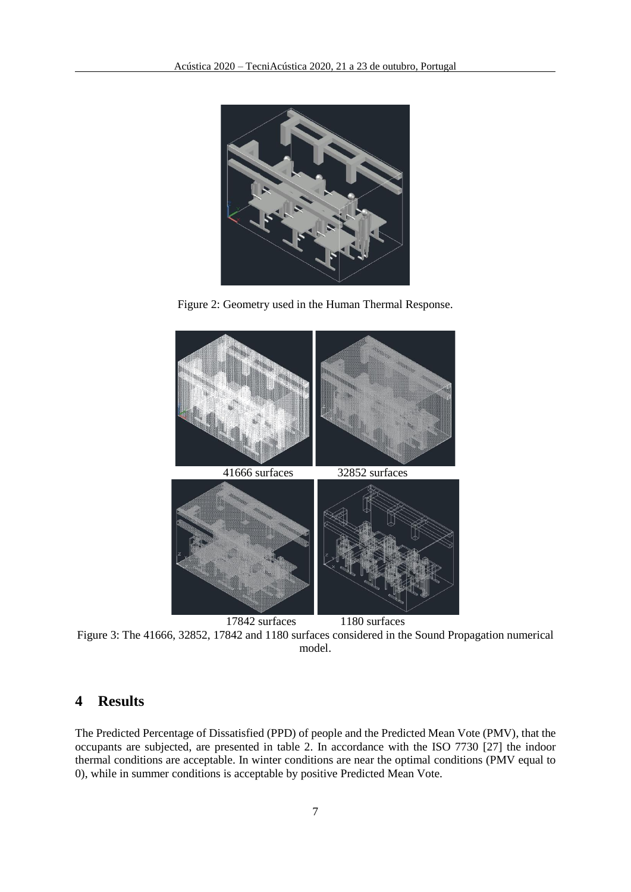

Figure 2: Geometry used in the Human Thermal Response.



Figure 3: The 41666, 32852, 17842 and 1180 surfaces considered in the Sound Propagation numerical model.

## **4 Results**

The Predicted Percentage of Dissatisfied (PPD) of people and the Predicted Mean Vote (PMV), that the occupants are subjected, are presented in table 2. In accordance with the ISO 7730 [27] the indoor thermal conditions are acceptable. In winter conditions are near the optimal conditions (PMV equal to 0), while in summer conditions is acceptable by positive Predicted Mean Vote.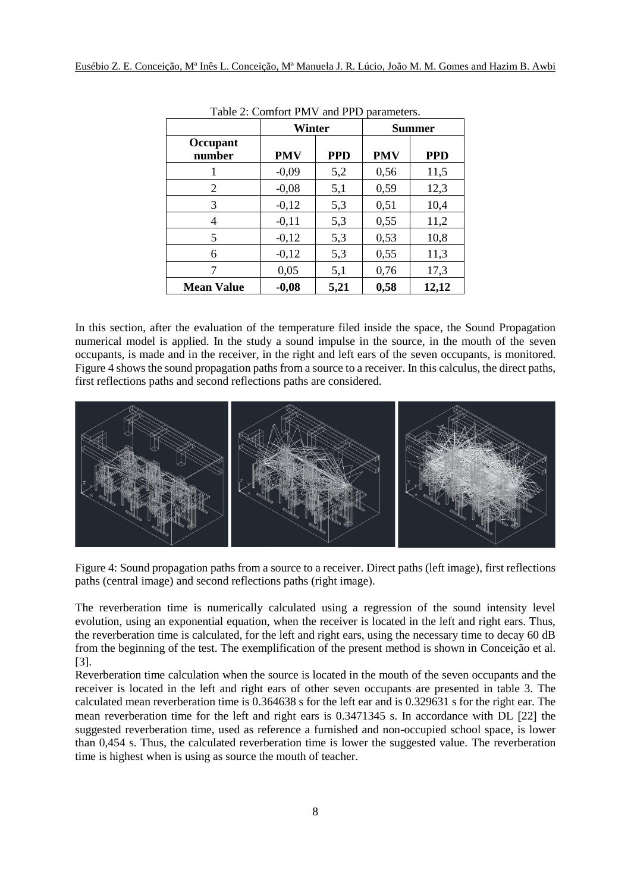|                    | Winter     |            | <b>Summer</b> |            |
|--------------------|------------|------------|---------------|------------|
| Occupant<br>number | <b>PMV</b> | <b>PPD</b> | <b>PMV</b>    | <b>PPD</b> |
|                    | $-0,09$    | 5,2        | 0,56          | 11,5       |
| 2                  | $-0,08$    | 5,1        | 0,59          | 12,3       |
| 3                  | $-0,12$    | 5,3        | 0,51          | 10,4       |
| 4                  | $-0,11$    | 5,3        | 0,55          | 11,2       |
| 5                  | $-0,12$    | 5,3        | 0,53          | 10,8       |
| 6                  | $-0,12$    | 5,3        | 0,55          | 11,3       |
|                    | 0,05       | 5,1        | 0,76          | 17,3       |
| <b>Mean Value</b>  | $-0,08$    | 5,21       | 0,58          | 12,12      |

Table 2: Comfort PMV and PPD parameters.

In this section, after the evaluation of the temperature filed inside the space, the Sound Propagation numerical model is applied. In the study a sound impulse in the source, in the mouth of the seven occupants, is made and in the receiver, in the right and left ears of the seven occupants, is monitored. Figure 4 shows the sound propagation paths from a source to a receiver. In this calculus, the direct paths, first reflections paths and second reflections paths are considered.



Figure 4: Sound propagation paths from a source to a receiver. Direct paths (left image), first reflections paths (central image) and second reflections paths (right image).

The reverberation time is numerically calculated using a regression of the sound intensity level evolution, using an exponential equation, when the receiver is located in the left and right ears. Thus, the reverberation time is calculated, for the left and right ears, using the necessary time to decay 60 dB from the beginning of the test. The exemplification of the present method is shown in Conceição et al. [3].

Reverberation time calculation when the source is located in the mouth of the seven occupants and the receiver is located in the left and right ears of other seven occupants are presented in table 3. The calculated mean reverberation time is 0.364638 s for the left ear and is 0.329631 s for the right ear. The mean reverberation time for the left and right ears is 0.3471345 s. In accordance with DL [22] the suggested reverberation time, used as reference a furnished and non-occupied school space, is lower than 0,454 s. Thus, the calculated reverberation time is lower the suggested value. The reverberation time is highest when is using as source the mouth of teacher.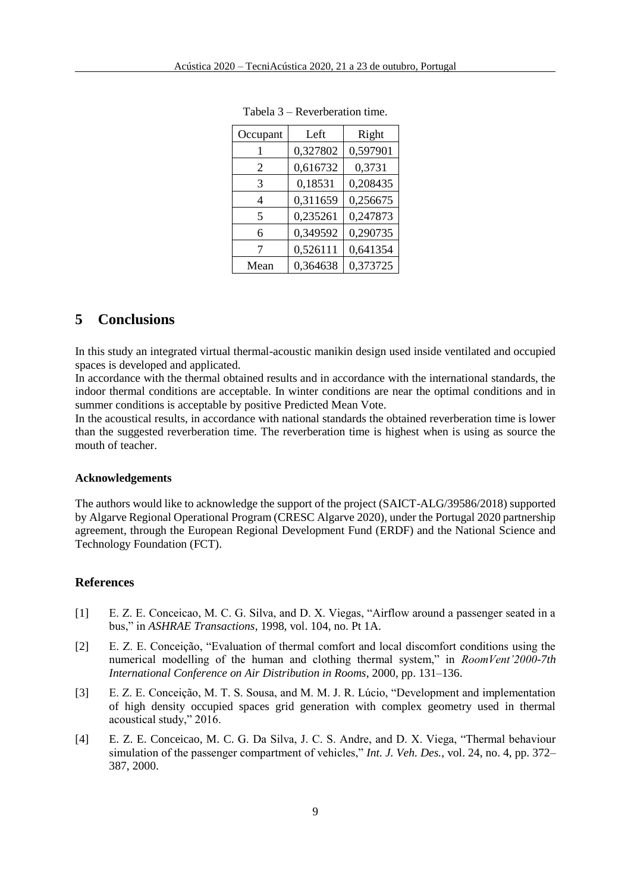| Occupant | Left     | Right    |  |
|----------|----------|----------|--|
|          | 0,327802 | 0,597901 |  |
| 2        | 0,616732 | 0,3731   |  |
| 3        | 0,18531  | 0,208435 |  |
| 4        | 0,311659 | 0,256675 |  |
| 5        | 0,235261 | 0,247873 |  |
| 6        | 0,349592 | 0,290735 |  |
| 7        | 0,526111 | 0,641354 |  |
| Mean     | 0,364638 | 0,373725 |  |

Tabela 3 – Reverberation time.

## **5 Conclusions**

In this study an integrated virtual thermal-acoustic manikin design used inside ventilated and occupied spaces is developed and applicated.

In accordance with the thermal obtained results and in accordance with the international standards, the indoor thermal conditions are acceptable. In winter conditions are near the optimal conditions and in summer conditions is acceptable by positive Predicted Mean Vote.

In the acoustical results, in accordance with national standards the obtained reverberation time is lower than the suggested reverberation time. The reverberation time is highest when is using as source the mouth of teacher.

#### **Acknowledgements**

The authors would like to acknowledge the support of the project (SAICT-ALG/39586/2018) supported by Algarve Regional Operational Program (CRESC Algarve 2020), under the Portugal 2020 partnership agreement, through the European Regional Development Fund (ERDF) and the National Science and Technology Foundation (FCT).

### **References**

- [1] E. Z. E. Conceicao, M. C. G. Silva, and D. X. Viegas, "Airflow around a passenger seated in a bus," in *ASHRAE Transactions*, 1998, vol. 104, no. Pt 1A.
- [2] E. Z. E. Conceição, "Evaluation of thermal comfort and local discomfort conditions using the numerical modelling of the human and clothing thermal system," in *RoomVent'2000-7th International Conference on Air Distribution in Rooms*, 2000, pp. 131–136.
- [3] E. Z. E. Conceição, M. T. S. Sousa, and M. M. J. R. Lúcio, "Development and implementation of high density occupied spaces grid generation with complex geometry used in thermal acoustical study," 2016.
- [4] E. Z. E. Conceicao, M. C. G. Da Silva, J. C. S. Andre, and D. X. Viega, "Thermal behaviour simulation of the passenger compartment of vehicles," *Int. J. Veh. Des.*, vol. 24, no. 4, pp. 372– 387, 2000.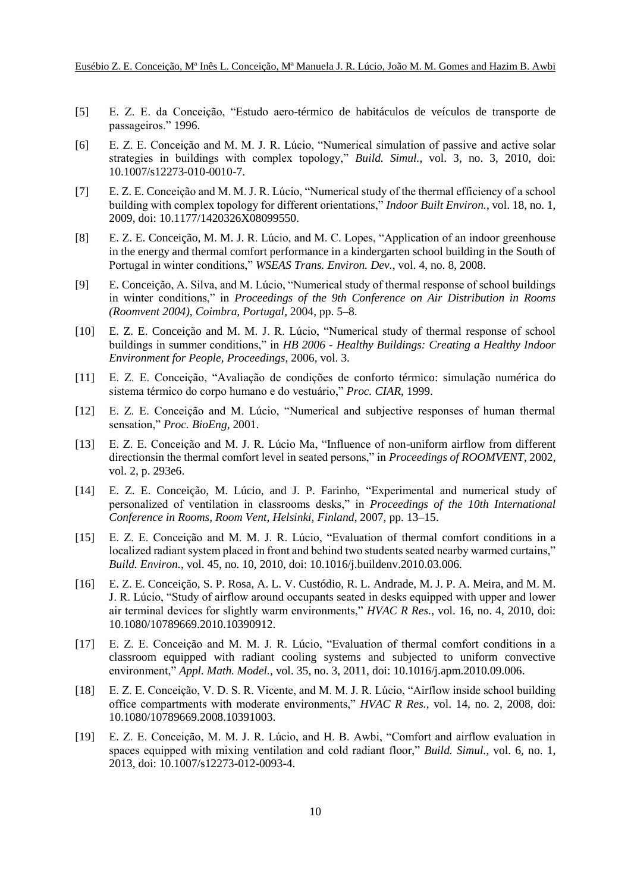- [5] E. Z. E. da Conceição, "Estudo aero-térmico de habitáculos de veículos de transporte de passageiros." 1996.
- [6] E. Z. E. Conceição and M. M. J. R. Lúcio, "Numerical simulation of passive and active solar strategies in buildings with complex topology," *Build. Simul.*, vol. 3, no. 3, 2010, doi: 10.1007/s12273-010-0010-7.
- [7] E. Z. E. Conceição and M. M. J. R. Lúcio, "Numerical study of the thermal efficiency of a school building with complex topology for different orientations," *Indoor Built Environ.*, vol. 18, no. 1, 2009, doi: 10.1177/1420326X08099550.
- [8] E. Z. E. Conceição, M. M. J. R. Lúcio, and M. C. Lopes, "Application of an indoor greenhouse in the energy and thermal comfort performance in a kindergarten school building in the South of Portugal in winter conditions," *WSEAS Trans. Environ. Dev.*, vol. 4, no. 8, 2008.
- [9] E. Conceição, A. Silva, and M. Lúcio, "Numerical study of thermal response of school buildings in winter conditions," in *Proceedings of the 9th Conference on Air Distribution in Rooms (Roomvent 2004), Coimbra, Portugal*, 2004, pp. 5–8.
- [10] E. Z. E. Conceição and M. M. J. R. Lúcio, "Numerical study of thermal response of school buildings in summer conditions," in *HB 2006 - Healthy Buildings: Creating a Healthy Indoor Environment for People, Proceedings*, 2006, vol. 3.
- [11] E. Z. E. Conceição, "Avaliação de condições de conforto térmico: simulação numérica do sistema térmico do corpo humano e do vestuário," *Proc. CIAR*, 1999.
- [12] E. Z. E. Conceição and M. Lúcio, "Numerical and subjective responses of human thermal sensation," *Proc. BioEng*, 2001.
- [13] E. Z. E. Conceição and M. J. R. Lúcio Ma, "Influence of non-uniform airflow from different directionsin the thermal comfort level in seated persons," in *Proceedings of ROOMVENT*, 2002, vol. 2, p. 293e6.
- [14] E. Z. E. Conceição, M. Lúcio, and J. P. Farinho, "Experimental and numerical study of personalized of ventilation in classrooms desks," in *Proceedings of the 10th International Conference in Rooms, Room Vent, Helsinki, Finland*, 2007, pp. 13–15.
- [15] E. Z. E. Conceição and M. M. J. R. Lúcio, "Evaluation of thermal comfort conditions in a localized radiant system placed in front and behind two students seated nearby warmed curtains," *Build. Environ.*, vol. 45, no. 10, 2010, doi: 10.1016/j.buildenv.2010.03.006.
- [16] E. Z. E. Conceição, S. P. Rosa, A. L. V. Custódio, R. L. Andrade, M. J. P. A. Meira, and M. M. J. R. Lúcio, "Study of airflow around occupants seated in desks equipped with upper and lower air terminal devices for slightly warm environments," *HVAC R Res.*, vol. 16, no. 4, 2010, doi: 10.1080/10789669.2010.10390912.
- [17] E. Z. E. Conceição and M. M. J. R. Lúcio, "Evaluation of thermal comfort conditions in a classroom equipped with radiant cooling systems and subjected to uniform convective environment," *Appl. Math. Model.*, vol. 35, no. 3, 2011, doi: 10.1016/j.apm.2010.09.006.
- [18] E. Z. E. Conceição, V. D. S. R. Vicente, and M. M. J. R. Lúcio, "Airflow inside school building office compartments with moderate environments," *HVAC R Res.*, vol. 14, no. 2, 2008, doi: 10.1080/10789669.2008.10391003.
- [19] E. Z. E. Conceição, M. M. J. R. Lúcio, and H. B. Awbi, "Comfort and airflow evaluation in spaces equipped with mixing ventilation and cold radiant floor," *Build. Simul.*, vol. 6, no. 1, 2013, doi: 10.1007/s12273-012-0093-4.